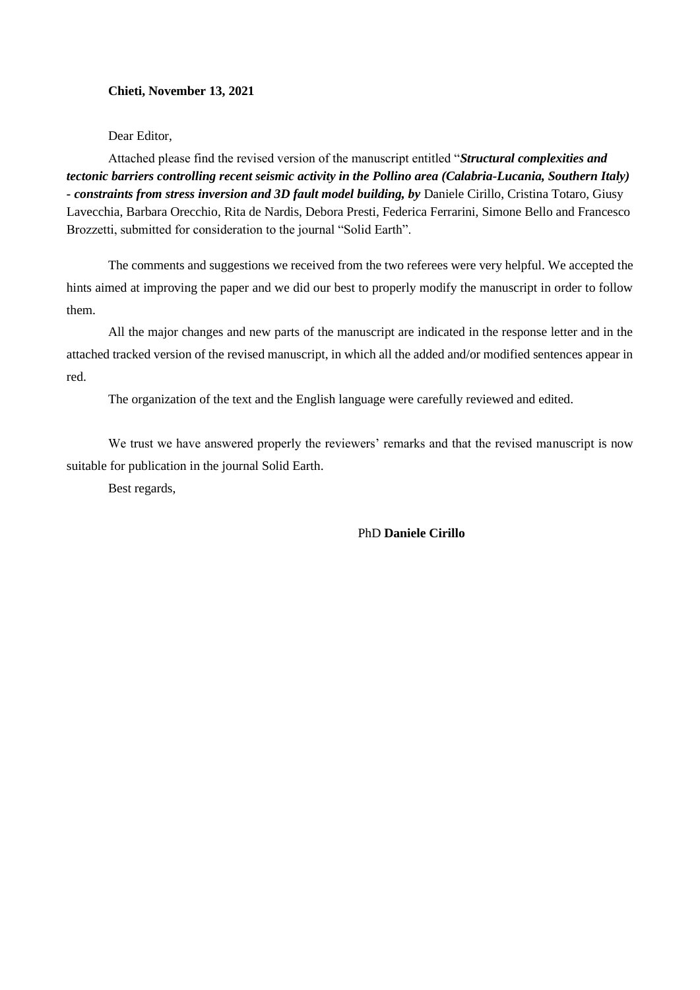# **Chieti, November 13, 2021**

Dear Editor,

Attached please find the revised version of the manuscript entitled "*Structural complexities and tectonic barriers controlling recent seismic activity in the Pollino area (Calabria-Lucania, Southern Italy) - constraints from stress inversion and 3D fault model building, by* Daniele Cirillo, Cristina Totaro, Giusy Lavecchia, Barbara Orecchio, Rita de Nardis, Debora Presti, Federica Ferrarini, Simone Bello and Francesco Brozzetti, submitted for consideration to the journal "Solid Earth".

The comments and suggestions we received from the two referees were very helpful. We accepted the hints aimed at improving the paper and we did our best to properly modify the manuscript in order to follow them.

All the major changes and new parts of the manuscript are indicated in the response letter and in the attached tracked version of the revised manuscript, in which all the added and/or modified sentences appear in red.

The organization of the text and the English language were carefully reviewed and edited.

We trust we have answered properly the reviewers' remarks and that the revised manuscript is now suitable for publication in the journal Solid Earth.

Best regards,

PhD **Daniele Cirillo**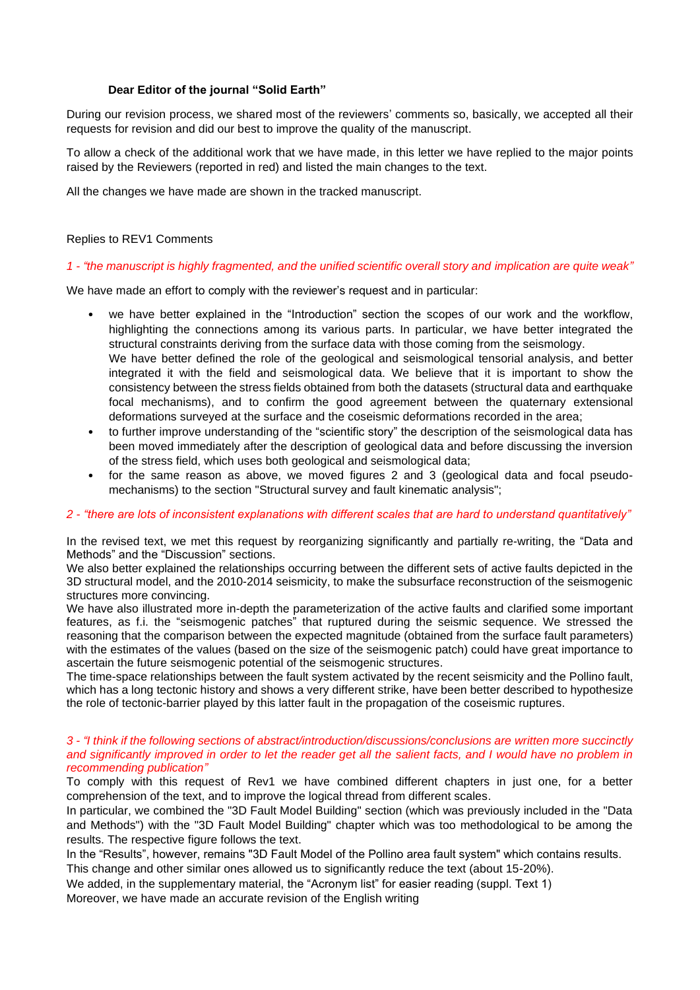## **Dear Editor of the journal "Solid Earth"**

During our revision process, we shared most of the reviewers' comments so, basically, we accepted all their requests for revision and did our best to improve the quality of the manuscript.

To allow a check of the additional work that we have made, in this letter we have replied to the major points raised by the Reviewers (reported in red) and listed the main changes to the text.

All the changes we have made are shown in the tracked manuscript.

### Replies to REV1 Comments

#### *1 - "the manuscript is highly fragmented, and the unified scientific overall story and implication are quite weak"*

We have made an effort to comply with the reviewer's request and in particular:

- we have better explained in the "Introduction" section the scopes of our work and the workflow, highlighting the connections among its various parts. In particular, we have better integrated the structural constraints deriving from the surface data with those coming from the seismology. We have better defined the role of the geological and seismological tensorial analysis, and better integrated it with the field and seismological data. We believe that it is important to show the consistency between the stress fields obtained from both the datasets (structural data and earthquake
	- focal mechanisms), and to confirm the good agreement between the quaternary extensional deformations surveyed at the surface and the coseismic deformations recorded in the area;
- to further improve understanding of the "scientific story" the description of the seismological data has been moved immediately after the description of geological data and before discussing the inversion of the stress field, which uses both geological and seismological data;
- for the same reason as above, we moved figures 2 and 3 (geological data and focal pseudomechanisms) to the section "Structural survey and fault kinematic analysis";

#### *2 - "there are lots of inconsistent explanations with different scales that are hard to understand quantitatively"*

In the revised text, we met this request by reorganizing significantly and partially re-writing, the "Data and Methods" and the "Discussion" sections.

We also better explained the relationships occurring between the different sets of active faults depicted in the 3D structural model, and the 2010-2014 seismicity, to make the subsurface reconstruction of the seismogenic structures more convincing.

We have also illustrated more in-depth the parameterization of the active faults and clarified some important features, as f.i. the "seismogenic patches" that ruptured during the seismic sequence. We stressed the reasoning that the comparison between the expected magnitude (obtained from the surface fault parameters) with the estimates of the values (based on the size of the seismogenic patch) could have great importance to ascertain the future seismogenic potential of the seismogenic structures.

The time-space relationships between the fault system activated by the recent seismicity and the Pollino fault, which has a long tectonic history and shows a very different strike, have been better described to hypothesize the role of tectonic-barrier played by this latter fault in the propagation of the coseismic ruptures.

#### *3 - "I think if the following sections of abstract/introduction/discussions/conclusions are written more succinctly and significantly improved in order to let the reader get all the salient facts, and I would have no problem in recommending publication"*

To comply with this request of Rev1 we have combined different chapters in just one, for a better comprehension of the text, and to improve the logical thread from different scales.

In particular, we combined the "3D Fault Model Building" section (which was previously included in the "Data and Methods") with the "3D Fault Model Building" chapter which was too methodological to be among the results. The respective figure follows the text.

In the "Results", however, remains "3D Fault Model of the Pollino area fault system" which contains results.

This change and other similar ones allowed us to significantly reduce the text (about 15-20%).

We added, in the supplementary material, the "Acronym list" for easier reading (suppl. Text 1)

Moreover, we have made an accurate revision of the English writing